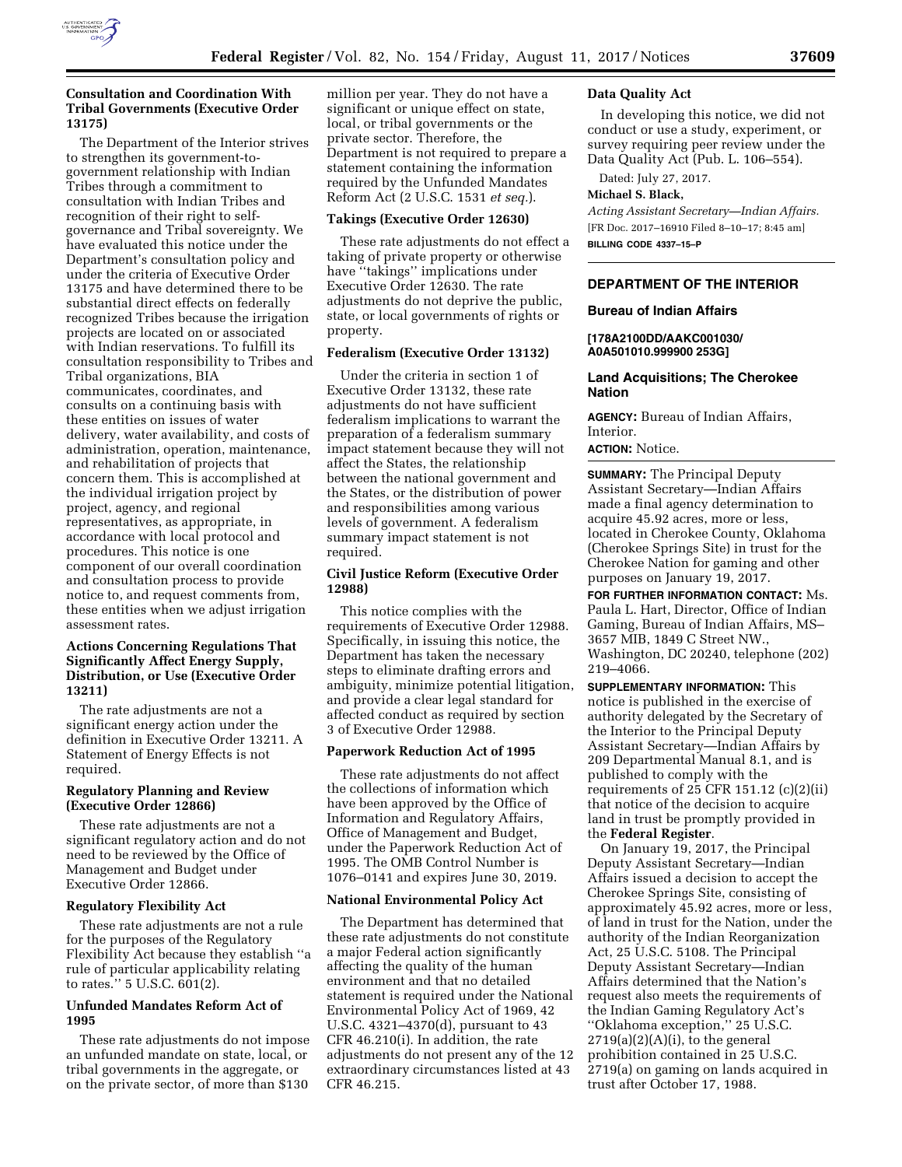

# **Consultation and Coordination With Tribal Governments (Executive Order 13175)**

The Department of the Interior strives to strengthen its government-togovernment relationship with Indian Tribes through a commitment to consultation with Indian Tribes and recognition of their right to selfgovernance and Tribal sovereignty. We have evaluated this notice under the Department's consultation policy and under the criteria of Executive Order 13175 and have determined there to be substantial direct effects on federally recognized Tribes because the irrigation projects are located on or associated with Indian reservations. To fulfill its consultation responsibility to Tribes and Tribal organizations, BIA communicates, coordinates, and consults on a continuing basis with these entities on issues of water delivery, water availability, and costs of administration, operation, maintenance, and rehabilitation of projects that concern them. This is accomplished at the individual irrigation project by project, agency, and regional representatives, as appropriate, in accordance with local protocol and procedures. This notice is one component of our overall coordination and consultation process to provide notice to, and request comments from, these entities when we adjust irrigation assessment rates.

# **Actions Concerning Regulations That Significantly Affect Energy Supply, Distribution, or Use (Executive Order 13211)**

The rate adjustments are not a significant energy action under the definition in Executive Order 13211. A Statement of Energy Effects is not required.

## **Regulatory Planning and Review (Executive Order 12866)**

These rate adjustments are not a significant regulatory action and do not need to be reviewed by the Office of Management and Budget under Executive Order 12866.

## **Regulatory Flexibility Act**

These rate adjustments are not a rule for the purposes of the Regulatory Flexibility Act because they establish ''a rule of particular applicability relating to rates.'' 5 U.S.C. 601(2).

# **Unfunded Mandates Reform Act of 1995**

These rate adjustments do not impose an unfunded mandate on state, local, or tribal governments in the aggregate, or on the private sector, of more than \$130

million per year. They do not have a significant or unique effect on state, local, or tribal governments or the private sector. Therefore, the Department is not required to prepare a statement containing the information required by the Unfunded Mandates Reform Act (2 U.S.C. 1531 *et seq.*).

#### **Takings (Executive Order 12630)**

These rate adjustments do not effect a taking of private property or otherwise have ''takings'' implications under Executive Order 12630. The rate adjustments do not deprive the public, state, or local governments of rights or property.

#### **Federalism (Executive Order 13132)**

Under the criteria in section 1 of Executive Order 13132, these rate adjustments do not have sufficient federalism implications to warrant the preparation of a federalism summary impact statement because they will not affect the States, the relationship between the national government and the States, or the distribution of power and responsibilities among various levels of government. A federalism summary impact statement is not required.

# **Civil Justice Reform (Executive Order 12988)**

This notice complies with the requirements of Executive Order 12988. Specifically, in issuing this notice, the Department has taken the necessary steps to eliminate drafting errors and ambiguity, minimize potential litigation, and provide a clear legal standard for affected conduct as required by section 3 of Executive Order 12988.

#### **Paperwork Reduction Act of 1995**

These rate adjustments do not affect the collections of information which have been approved by the Office of Information and Regulatory Affairs, Office of Management and Budget, under the Paperwork Reduction Act of 1995. The OMB Control Number is 1076–0141 and expires June 30, 2019.

#### **National Environmental Policy Act**

The Department has determined that these rate adjustments do not constitute a major Federal action significantly affecting the quality of the human environment and that no detailed statement is required under the National Environmental Policy Act of 1969, 42 U.S.C. 4321–4370(d), pursuant to 43 CFR 46.210(i). In addition, the rate adjustments do not present any of the 12 extraordinary circumstances listed at 43 CFR 46.215.

## **Data Quality Act**

In developing this notice, we did not conduct or use a study, experiment, or survey requiring peer review under the Data Quality Act (Pub. L. 106–554).

Dated: July 27, 2017.

## **Michael S. Black,**

*Acting Assistant Secretary—Indian Affairs.*  [FR Doc. 2017–16910 Filed 8–10–17; 8:45 am] **BILLING CODE 4337–15–P** 

# **DEPARTMENT OF THE INTERIOR**

#### **Bureau of Indian Affairs**

## **[178A2100DD/AAKC001030/ A0A501010.999900 253G]**

# **Land Acquisitions; The Cherokee Nation**

**AGENCY:** Bureau of Indian Affairs, Interior.

# **ACTION:** Notice.

**SUMMARY:** The Principal Deputy Assistant Secretary—Indian Affairs made a final agency determination to acquire 45.92 acres, more or less, located in Cherokee County, Oklahoma (Cherokee Springs Site) in trust for the Cherokee Nation for gaming and other purposes on January 19, 2017.

**FOR FURTHER INFORMATION CONTACT:** Ms. Paula L. Hart, Director, Office of Indian Gaming, Bureau of Indian Affairs, MS– 3657 MIB, 1849 C Street NW., Washington, DC 20240, telephone (202) 219–4066.

**SUPPLEMENTARY INFORMATION:** This notice is published in the exercise of authority delegated by the Secretary of the Interior to the Principal Deputy Assistant Secretary—Indian Affairs by 209 Departmental Manual 8.1, and is published to comply with the requirements of 25 CFR 151.12  $(c)(2)(ii)$ that notice of the decision to acquire land in trust be promptly provided in the **Federal Register**.

On January 19, 2017, the Principal Deputy Assistant Secretary—Indian Affairs issued a decision to accept the Cherokee Springs Site, consisting of approximately 45.92 acres, more or less, of land in trust for the Nation, under the authority of the Indian Reorganization Act, 25 U.S.C. 5108. The Principal Deputy Assistant Secretary—Indian Affairs determined that the Nation's request also meets the requirements of the Indian Gaming Regulatory Act's ''Oklahoma exception,'' 25 U.S.C.  $2719(a)(2)(A)(i)$ , to the general prohibition contained in 25 U.S.C. 2719(a) on gaming on lands acquired in trust after October 17, 1988.